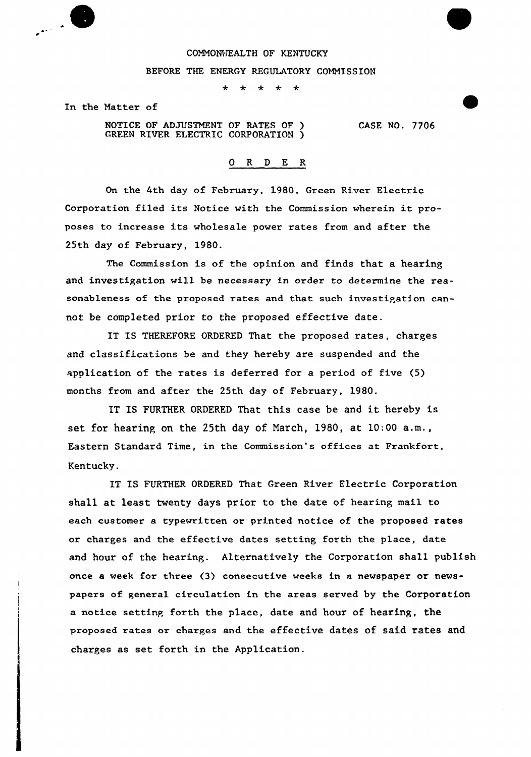## COMMONVIEALTH OF KENTUCKY

## BEFORE THE ENERGY REGULATORY COMMISSION

 $\ddot{\phantom{1}}$ \* \* \* \*

In the Natter of

NOTICE OF ADJUSTMENT OF RATES OF ) CREEN RIVER ELECTRIC CORPORATION ) CASE NO. 7706

0 R <sup>D</sup> E R

On the 4th day of February, 1980, Green River Electric Corporation filed its Notice with the Commission wherein it proposes to increase its wholesale power rates from and after the 25th day of February, 1980.

The Commission is of the opinion and finds that a hearing and investigation will be necessary in order to determine the reasonableness of the proposed rates and that such investigation cannot be completed prior to the proposed effective date.

IT IS THEREFORE ORDERED That the proposed rates, charges and classifications be and they hereby are suspended and the application of the rates is defexred for a period of five (5) months from and after the 25th day of February, 1980.

IT IS FURTHER ORDFRED That this case be and it hereby is set for hearing on the 25th day of Narch, 1980, at 10:00 a.m., Eastern Standard Time, in the Commission's offices at Frankfort, Kentucky.

IT IS FURTHER ORDERED That Green River Electric Corporation shall at least twenty days prior to the date of heaxing mail to each customer a typewritten or printed notice of the proposed rates ox charges and the effective dates setting foxth the place, date and hour of the hearing. Alternatively the Corporation shall publish once a week for three (3) consecutive weeks in a newspaper or newspapers of genera1 circulation in the areas served by the Corporation a notice setting forth the place, date and hour of hearing, the proposed rates or charges and the effective dates of said rates and charges as set forth in the Application.